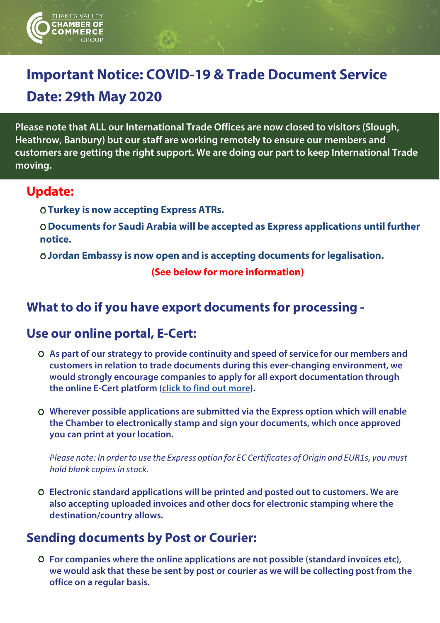

# **Important Notice: COVID-19 & Trade Document Service Date: 29th May 2020**

**Please note that ALL our International Trade Offices are now closed to visitors (Slough, Heathrow, Banbury) but our staff are working remotely to ensure our members and customers are getting the right support. We are doing our part to keep International Trade moving.** 

#### **Update:**

- **Turkey is now accepting Express ATRs.**
- **Documents for Saudi Arabia will be accepted as Express applications until further notice.**
- **Jordan Embassy is now open and is accepting documents for legalisation.**

 **(See below for more information)** 

## **What to do if you have export documents for processing -**

## **Use our online portal, E-Cert:**

- **As part of our strategy to provide continuity and speed of service for our members and customers in relation to trade documents during this ever-changing environment, we would strongly encourage companies to apply for all export documentation through the online E-Cert platform [\(click to find out more\)](https://www.thamesvalleychamber.co.uk/international-trade/export-documents-online/).**
- **Wherever possible applications are submitted via the Express option which will enable the Chamber to electronically stamp and sign your documents, which once approved you can print at your location.**

*Please note: In orderto use the Express option for EC Certificates of Origin and EUR1s, youmust hold blank copiesin stock.*

**Electronic standard applications will be printed and posted out to customers. We are also accepting uploaded invoices and other docs for electronic stamping where the destination/country allows.**

## **Sending documents by Post or Courier:**

**For companies where the online applications are not possible (standard invoices etc), we would ask that these be sent by post or courier as we will be collecting post from the office on a regular basis.**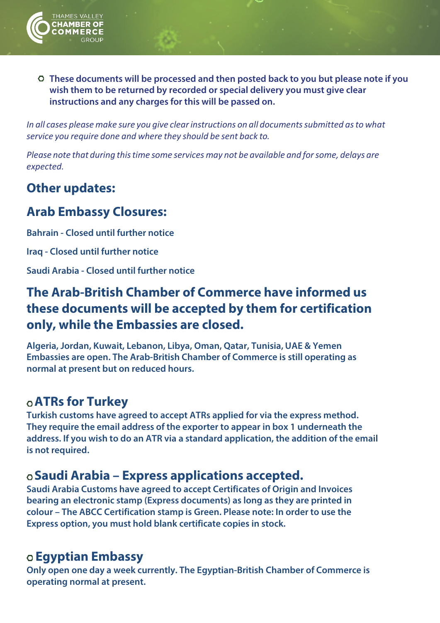

**These documents will be processed and then posted back to you but please note if you wish them to be returned by recorded or special delivery you must give clear instructions and any charges for this will be passed on.**

*In* all cases please make sure you give clear instructions on all documents submitted as to what *service you require done and where they should be sent back to.*

*Please note that during thistime some services may not be available and forsome, delays are expected.*

## **Other updates:**

## **Arab Embassy Closures:**

**Bahrain - Closed until further notice**

**Iraq - Closed until further notice**

**Saudi Arabia - Closed until further notice**

## **The Arab-British Chamber of Commerce have informed us these documents will be accepted by them for certification only, while the Embassies are closed.**

**Algeria, Jordan, Kuwait, Lebanon, Libya, Oman, Qatar, Tunisia, UAE & Yemen Embassies are open. The Arab-British Chamber of Commerce is still operating as normal at present but on reduced hours.**

## **ATRs for Turkey**

**Turkish customs have agreed to accept ATRs applied for via the express method. They require the email address of the exporter to appear in box 1 underneath the address. If you wish to do an ATR via a standard application, the addition of the email is not required.**

## **Saudi Arabia – Express applications accepted.**

**Saudi Arabia Customs have agreed to accept Certificates of Origin and Invoices bearing an electronic stamp (Express documents) as long as they are printed in colour – The ABCC Certification stamp is Green. Please note: In order to use the Express option, you must hold blank certificate copies in stock.**

## **Egyptian Embassy**

**Only open one day a week currently. The Egyptian-British Chamber of Commerce is operating normal at present.**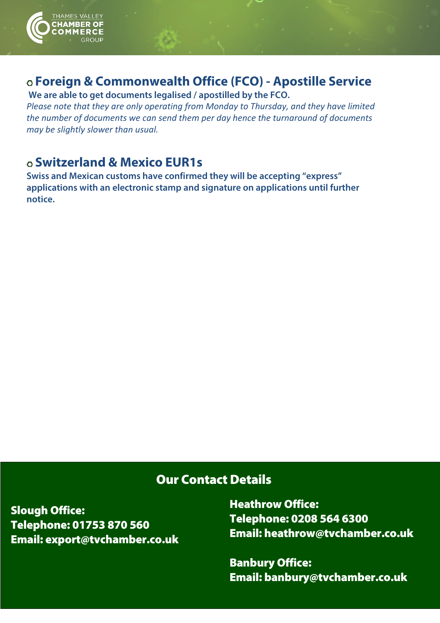

## **Foreign & Commonwealth Office (FCO) - Apostille Service**

**We are able to get documents legalised / apostilled by the FCO.**

*Please note that they are only operating from Monday to Thursday, and they have limited the number of documents we can send them per day hence the turnaround of documents may be slightly slower than usual.*

## **Switzerland & Mexico EUR1s**

**Swiss and Mexican customs have confirmed they will be accepting "express" applications with an electronic stamp and signature on applications until further notice.**

#### Our Contact Details

Slough Office: Telephone: 01753 870 560 Email: export@tvchamber.co.uk

Heathrow Office: Telephone: 0208 564 6300 Email: [heathrow@tvchamber.co.uk](mailto:heathrow@tvchamber.co.uk)

Banbury Office: Email: banbury@tvchamber.co.uk